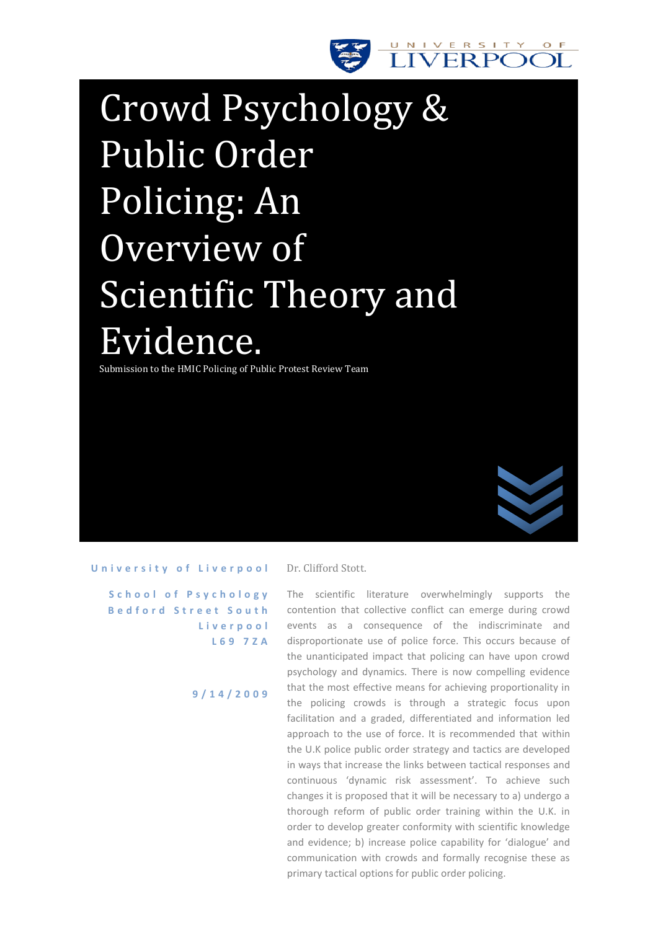

# Crowd Psychology & Public Order Policing: An Overview of Scientific Theory and Evidence.

Submission to the HMIC Policing of Public Protest Review Team



#### University of Liverpool

**S c h o o l o f P s y c h o l o g y B e d f o r d S t r e e t S o u t h L i v e r p o o l L 6 9 7 Z A**

**9 / 1 4 / 2 0 0 9**

Dr. Clifford Stott.

The scientific literature overwhelmingly supports the contention that collective conflict can emerge during crowd events as a consequence of the indiscriminate and disproportionate use of police force. This occurs because of the unanticipated impact that policing can have upon crowd psychology and dynamics. There is now compelling evidence that the most effective means for achieving proportionality in the policing crowds is through a strategic focus upon facilitation and a graded, differentiated and information led approach to the use of force. It is recommended that within the U.K police public order strategy and tactics are developed in ways that increase the links between tactical responses and continuous 'dynamic risk assessment'. To achieve such changes it is proposed that it will be necessary to a) undergo a thorough reform of public order training within the U.K. in order to develop greater conformity with scientific knowledge and evidence; b) increase police capability for 'dialogue' and communication with crowds and formally recognise these as primary tactical options for public order policing.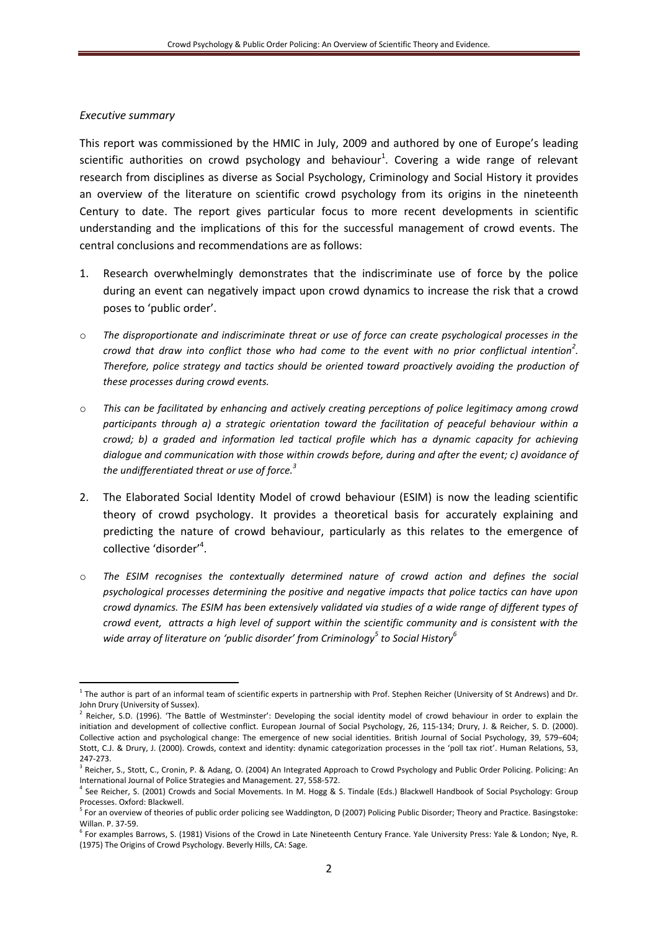### *Executive summary*

 $\overline{a}$ 

This report was commissioned by the HMIC in July, 2009 and authored by one of Europe's leading scientific authorities on crowd psychology and behaviour<sup>1</sup>. Covering a wide range of relevant research from disciplines as diverse as Social Psychology, Criminology and Social History it provides an overview of the literature on scientific crowd psychology from its origins in the nineteenth Century to date. The report gives particular focus to more recent developments in scientific understanding and the implications of this for the successful management of crowd events. The central conclusions and recommendations are as follows:

- 1. Research overwhelmingly demonstrates that the indiscriminate use of force by the police during an event can negatively impact upon crowd dynamics to increase the risk that a crowd poses to 'public order'.
- o *The disproportionate and indiscriminate threat or use of force can create psychological processes in the crowd that draw into conflict those who had come to the event with no prior conflictual intention<sup>2</sup> . Therefore, police strategy and tactics should be oriented toward proactively avoiding the production of these processes during crowd events.*
- o *This can be facilitated by enhancing and actively creating perceptions of police legitimacy among crowd participants through a) a strategic orientation toward the facilitation of peaceful behaviour within a crowd; b) a graded and information led tactical profile which has a dynamic capacity for achieving dialogue and communication with those within crowds before, during and after the event; c) avoidance of the undifferentiated threat or use of force. 3*
- 2. The Elaborated Social Identity Model of crowd behaviour (ESIM) is now the leading scientific theory of crowd psychology. It provides a theoretical basis for accurately explaining and predicting the nature of crowd behaviour, particularly as this relates to the emergence of collective 'disorder'<sup>4</sup>.
- o *The ESIM recognises the contextually determined nature of crowd action and defines the social psychological processes determining the positive and negative impacts that police tactics can have upon crowd dynamics. The ESIM has been extensively validated via studies of a wide range of different types of crowd event, attracts a high level of support within the scientific community and is consistent with the wide array of literature on 'public disorder' from Criminology<sup>5</sup> to Social History<sup>6</sup>*

<sup>&</sup>lt;sup>1</sup> The author is part of an informal team of scientific experts in partnership with Prof. Stephen Reicher (University of St Andrews) and Dr. John Drury (University of Sussex).

<sup>&</sup>lt;sup>2</sup> Reicher, S.D. (1996). 'The Battle of Westminster': Developing the social identity model of crowd behaviour in order to explain the initiation and development of collective conflict. European Journal of Social Psychology, 26, 115-134; Drury, J. & Reicher, S. D. (2000). Collective action and psychological change: The emergence of new social identities. British Journal of Social Psychology, 39, 579–604; Stott, C.J. & Drury, J. (2000). Crowds, context and identity: dynamic categorization processes in the 'poll tax riot'. Human Relations, 53, 247-273.

<sup>&</sup>lt;sup>3</sup> Reicher, S., Stott, C., Cronin, P. & Adang, O. (2004) An Integrated Approach to Crowd Psychology and Public Order Policing. Policing: An International Journal of Police Strategies and Management. 27, 558-572.

<sup>4</sup> See Reicher, S. (2001) Crowds and Social Movements. In M. Hogg & S. Tindale (Eds.) Blackwell Handbook of Social Psychology: Group Processes. Oxford: Blackwell.

<sup>5</sup> For an overview of theories of public order policing see Waddington, D (2007) Policing Public Disorder; Theory and Practice. Basingstoke: Willan. P. 37-59.

<sup>6</sup> For examples Barrows, S. (1981) Visions of the Crowd in Late Nineteenth Century France. Yale University Press: Yale & London; Nye, R. (1975) The Origins of Crowd Psychology. Beverly Hills, CA: Sage.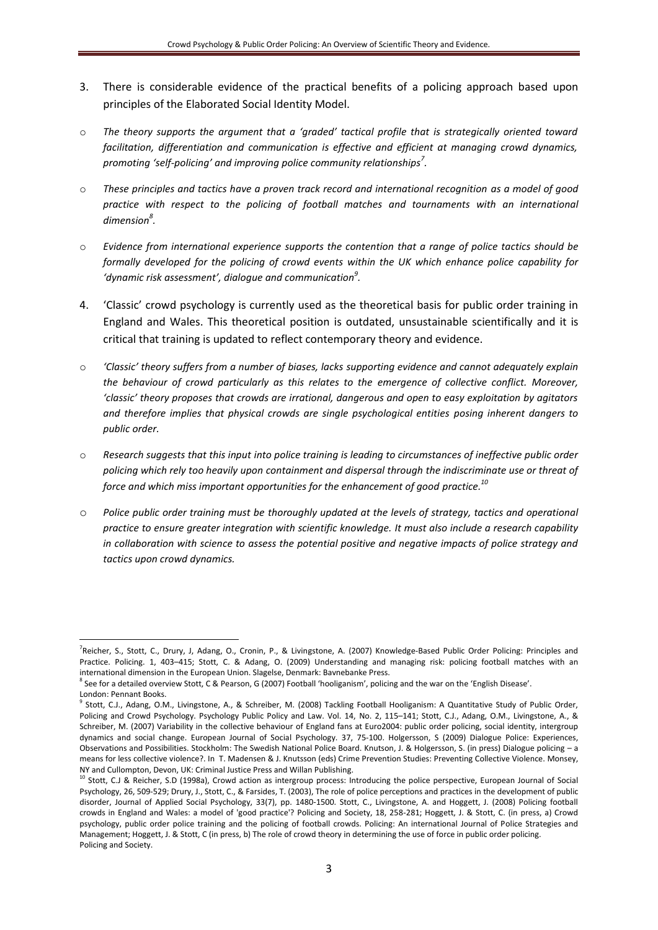- 3. There is considerable evidence of the practical benefits of a policing approach based upon principles of the Elaborated Social Identity Model.
- o *The theory supports the argument that a 'graded' tactical profile that is strategically oriented toward facilitation, differentiation and communication is effective and efficient at managing crowd dynamics, promoting 'self-policing' and improving police community relationships<sup>7</sup> .*
- o *These principles and tactics have a proven track record and international recognition as a model of good*  practice with respect to the policing of football matches and tournaments with an international *dimension<sup>8</sup> .*
- o *Evidence from international experience supports the contention that a range of police tactics should be formally developed for the policing of crowd events within the UK which enhance police capability for 'dynamic risk assessment', dialogue and communication<sup>9</sup> .*
- 4. 'Classic' crowd psychology is currently used as the theoretical basis for public order training in England and Wales. This theoretical position is outdated, unsustainable scientifically and it is critical that training is updated to reflect contemporary theory and evidence.
- o *'Classic' theory suffers from a number of biases, lacks supporting evidence and cannot adequately explain the behaviour of crowd particularly as this relates to the emergence of collective conflict. Moreover, 'classic' theory proposes that crowds are irrational, dangerous and open to easy exploitation by agitators and therefore implies that physical crowds are single psychological entities posing inherent dangers to public order.*
- o *Research suggests that this input into police training is leading to circumstances of ineffective public order policing which rely too heavily upon containment and dispersal through the indiscriminate use or threat of force and which miss important opportunities for the enhancement of good practice.<sup>10</sup>*
- o *Police public order training must be thoroughly updated at the levels of strategy, tactics and operational practice to ensure greater integration with scientific knowledge. It must also include a research capability in collaboration with science to assess the potential positive and negative impacts of police strategy and tactics upon crowd dynamics.*

 $\overline{a}$ 

<sup>&</sup>lt;sup>7</sup>Reicher, S., Stott, C., Drury, J, Adang, O., Cronin, P., & Livingstone, A. (2007) Knowledge-Based Public Order Policing: Principles and Practice. Policing. 1, 403–415; Stott, C. & Adang, O. (2009) Understanding and managing risk: policing football matches with an international dimension in the European Union. Slagelse, Denmark: Bavnebanke Press.

<sup>&</sup>lt;sup>8</sup> See for a detailed overview Stott, C & Pearson, G (2007) Football 'hooliganism', policing and the war on the 'English Disease'. London: Pennant Books.

<sup>&</sup>lt;sup>9</sup> Stott, C.J., Adang, O.M., Livingstone, A., & Schreiber, M. (2008) Tackling Football Hooliganism: A Quantitative Study of Public Order, Policing and Crowd Psychology. Psychology Public Policy and Law. Vol. 14, No. 2, 115–141; Stott, C.J., Adang, O.M., Livingstone, A., & Schreiber, M. (2007) Variability in the collective behaviour of England fans at Euro2004: public order policing, social identity, intergroup dynamics and social change. European Journal of Social Psychology. 37, 75-100. Holgersson, S (2009) Dialogue Police: Experiences, Observations and Possibilities. Stockholm: The Swedish National Police Board. Knutson, J. & Holgersson, S. (in press) Dialogue policing – a means for less collective violence?. In T. Madensen & J. Knutsson (eds) Crime Prevention Studies: Preventing Collective Violence. Monsey, NY and Cullompton, Devon, UK: Criminal Justice Press and Willan Publishing.

<sup>&</sup>lt;sup>10</sup> Stott, C.J & Reicher, S.D (1998a), Crowd action as intergroup process: Introducing the police perspective, European Journal of Social Psychology, 26, 509-529; Drury, J., Stott, C., & Farsides, T. (2003), The role of police perceptions and practices in the development of public disorder, Journal of Applied Social Psychology, 33(7), pp. 1480-1500. Stott, C., Livingstone, A. and Hoggett, J. (2008) Policing football crowds in England and Wales: a model of 'good practice'? Policing and Society, 18, 258-281; Hoggett, J. & Stott, C. (in press, a) Crowd psychology, public order police training and the policing of football crowds. Policing: An international Journal of Police Strategies and Management; Hoggett, J. & Stott, C (in press, b) The role of crowd theory in determining the use of force in public order policing. Policing and Society.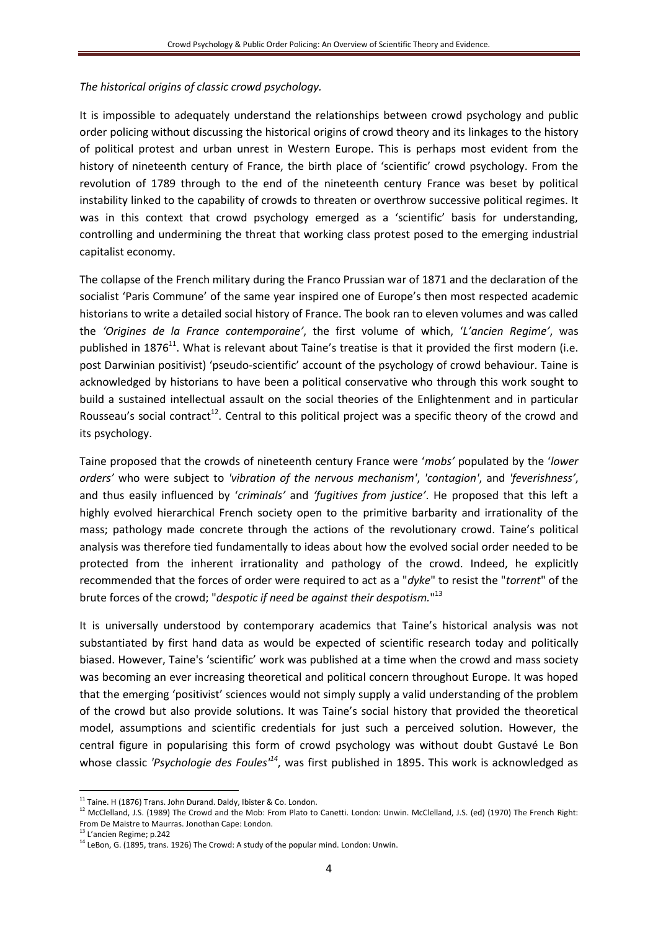# *The historical origins of classic crowd psychology.*

It is impossible to adequately understand the relationships between crowd psychology and public order policing without discussing the historical origins of crowd theory and its linkages to the history of political protest and urban unrest in Western Europe. This is perhaps most evident from the history of nineteenth century of France, the birth place of 'scientific' crowd psychology. From the revolution of 1789 through to the end of the nineteenth century France was beset by political instability linked to the capability of crowds to threaten or overthrow successive political regimes. It was in this context that crowd psychology emerged as a 'scientific' basis for understanding, controlling and undermining the threat that working class protest posed to the emerging industrial capitalist economy.

The collapse of the French military during the Franco Prussian war of 1871 and the declaration of the socialist 'Paris Commune' of the same year inspired one of Europe's then most respected academic historians to write a detailed social history of France. The book ran to eleven volumes and was called the *'Origines de la France contemporaine'*, the first volume of which, '*L'ancien Regime'*, was published in 1876<sup>11</sup>. What is relevant about Taine's treatise is that it provided the first modern (i.e. post Darwinian positivist) 'pseudo-scientific' account of the psychology of crowd behaviour. Taine is acknowledged by historians to have been a political conservative who through this work sought to build a sustained intellectual assault on the social theories of the Enlightenment and in particular Rousseau's social contract<sup>12</sup>. Central to this political project was a specific theory of the crowd and its psychology.

Taine proposed that the crowds of nineteenth century France were '*mobs'* populated by the '*lower orders'* who were subject to *'vibration of the nervous mechanism'*, *'contagion'*, and *'feverishness'*, and thus easily influenced by '*criminals'* and *'fugitives from justice'*. He proposed that this left a highly evolved hierarchical French society open to the primitive barbarity and irrationality of the mass; pathology made concrete through the actions of the revolutionary crowd. Taine's political analysis was therefore tied fundamentally to ideas about how the evolved social order needed to be protected from the inherent irrationality and pathology of the crowd. Indeed, he explicitly recommended that the forces of order were required to act as a "*dyke*" to resist the "*torrent*" of the brute forces of the crowd; "*despotic if need be against their despotism.*" 13

It is universally understood by contemporary academics that Taine's historical analysis was not substantiated by first hand data as would be expected of scientific research today and politically biased. However, Taine's 'scientific' work was published at a time when the crowd and mass society was becoming an ever increasing theoretical and political concern throughout Europe. It was hoped that the emerging 'positivist' sciences would not simply supply a valid understanding of the problem of the crowd but also provide solutions. It was Taine's social history that provided the theoretical model, assumptions and scientific credentials for just such a perceived solution. However, the central figure in popularising this form of crowd psychology was without doubt Gustavé Le Bon whose classic *'Psychologie des Foules'<sup>14</sup>* , was first published in 1895. This work is acknowledged as

 $11$  Taine. H (1876) Trans. John Durand. Daldy, Ibister & Co. London.

<sup>&</sup>lt;sup>12</sup> McClelland, J.S. (1989) The Crowd and the Mob: From Plato to Canetti. London: Unwin. McClelland, J.S. (ed) (1970) The French Right: From De Maistre to Maurras. Jonothan Cape: London.

<sup>13</sup> L'ancien Regime; p.242

<sup>&</sup>lt;sup>14</sup> LeBon, G. (1895, trans. 1926) The Crowd: A study of the popular mind. London: Unwin.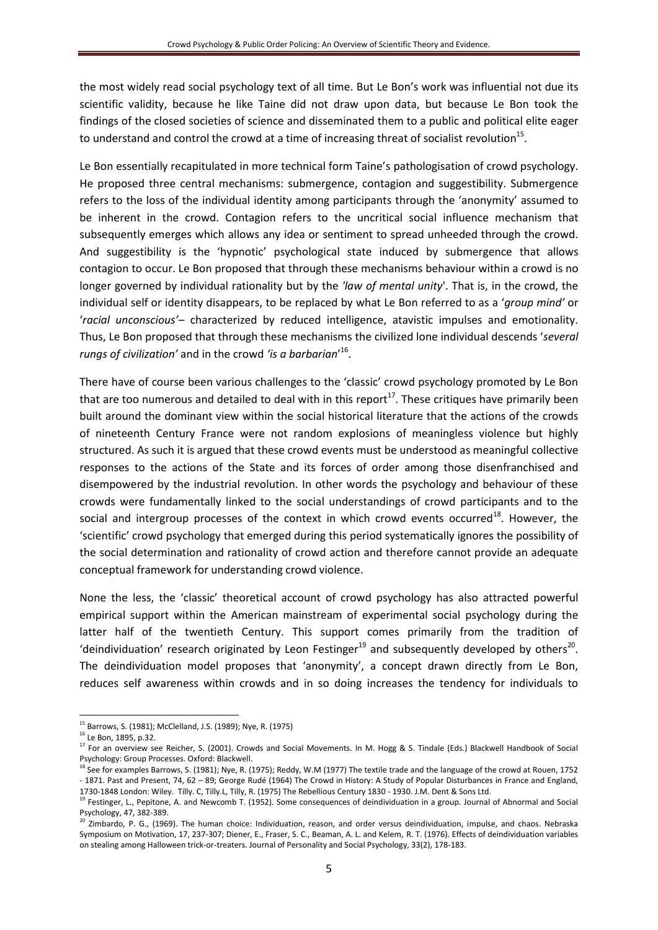the most widely read social psychology text of all time. But Le Bon's work was influential not due its scientific validity, because he like Taine did not draw upon data, but because Le Bon took the findings of the closed societies of science and disseminated them to a public and political elite eager to understand and control the crowd at a time of increasing threat of socialist revolution<sup>15</sup>.

Le Bon essentially recapitulated in more technical form Taine's pathologisation of crowd psychology. He proposed three central mechanisms: submergence, contagion and suggestibility. Submergence refers to the loss of the individual identity among participants through the 'anonymity' assumed to be inherent in the crowd. Contagion refers to the uncritical social influence mechanism that subsequently emerges which allows any idea or sentiment to spread unheeded through the crowd. And suggestibility is the 'hypnotic' psychological state induced by submergence that allows contagion to occur. Le Bon proposed that through these mechanisms behaviour within a crowd is no longer governed by individual rationality but by the *'law of mental unity*'. That is, in the crowd, the individual self or identity disappears, to be replaced by what Le Bon referred to as a '*group mind'* or '*racial unconscious'*– characterized by reduced intelligence, atavistic impulses and emotionality. Thus, Le Bon proposed that through these mechanisms the civilized lone individual descends '*several rungs of civilization'* and in the crowd *'is a barbarian*' 16 .

There have of course been various challenges to the 'classic' crowd psychology promoted by Le Bon that are too numerous and detailed to deal with in this report<sup>17</sup>. These critiques have primarily been built around the dominant view within the social historical literature that the actions of the crowds of nineteenth Century France were not random explosions of meaningless violence but highly structured. As such it is argued that these crowd events must be understood as meaningful collective responses to the actions of the State and its forces of order among those disenfranchised and disempowered by the industrial revolution. In other words the psychology and behaviour of these crowds were fundamentally linked to the social understandings of crowd participants and to the social and intergroup processes of the context in which crowd events occurred $^{18}$ . However, the 'scientific' crowd psychology that emerged during this period systematically ignores the possibility of the social determination and rationality of crowd action and therefore cannot provide an adequate conceptual framework for understanding crowd violence.

None the less, the 'classic' theoretical account of crowd psychology has also attracted powerful empirical support within the American mainstream of experimental social psychology during the latter half of the twentieth Century. This support comes primarily from the tradition of 'deindividuation' research originated by Leon Festinger<sup>19</sup> and subsequently developed by others<sup>20</sup>. The deindividuation model proposes that 'anonymity', a concept drawn directly from Le Bon, reduces self awareness within crowds and in so doing increases the tendency for individuals to

**<sup>.</sup>** <sup>15</sup> Barrows, S. (1981); McClelland, J.S. (1989); Nye, R. (1975)

<sup>16</sup> Le Bon, 1895, p.32.

<sup>&</sup>lt;sup>17</sup> For an overview see Reicher, S. (2001). Crowds and Social Movements. In M. Hogg & S. Tindale (Eds.) Blackwell Handbook of Social Psychology: Group Processes. Oxford: Blackwell.

 $18$  See for examples Barrows, S. (1981); Nye, R. (1975); Reddy, W.M (1977) The textile trade and the language of the crowd at Rouen, 1752 - 1871. Past and Present, 74, 62 – 89; George Rudé (1964) The Crowd in History: A Study of Popular Disturbances in France and England, 1730-1848 London: Wiley. Tilly. C, Tilly.L, Tilly, R. (1975) The Rebellious Century 1830 - 1930. J.M. Dent & Sons Ltd.

<sup>&</sup>lt;sup>19</sup> Festinger, L., Pepitone, A. and Newcomb T. (1952). Some consequences of deindividuation in a group. Journal of Abnormal and Social Psychology, 47, 382-389.

<sup>&</sup>lt;sup>20</sup> Zimbardo, P. G., (1969). The human choice: Individuation, reason, and order versus deindividuation, impulse, and chaos. Nebraska Symposium on Motivation, 17, 237-307; Diener, E., Fraser, S. C., Beaman, A. L. and Kelem, R. T. (1976). Effects of deindividuation variables on stealing among Halloween trick-or-treaters. Journal of Personality and Social Psychology, 33(2), 178-183.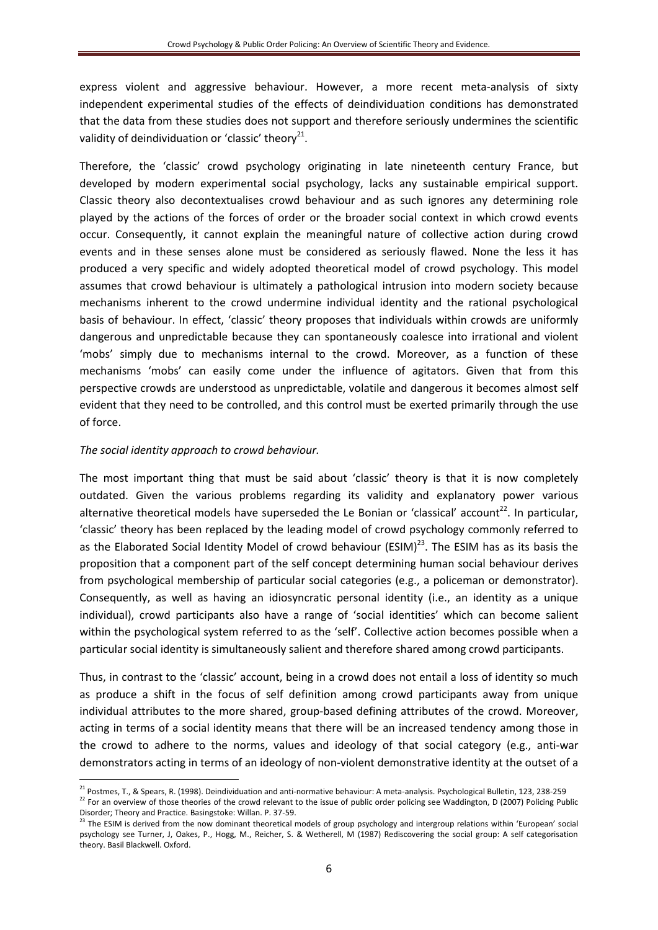express violent and aggressive behaviour. However, a more recent meta-analysis of sixty independent experimental studies of the effects of deindividuation conditions has demonstrated that the data from these studies does not support and therefore seriously undermines the scientific validity of deindividuation or 'classic' theory $^{21}$ .

Therefore, the 'classic' crowd psychology originating in late nineteenth century France, but developed by modern experimental social psychology, lacks any sustainable empirical support. Classic theory also decontextualises crowd behaviour and as such ignores any determining role played by the actions of the forces of order or the broader social context in which crowd events occur. Consequently, it cannot explain the meaningful nature of collective action during crowd events and in these senses alone must be considered as seriously flawed. None the less it has produced a very specific and widely adopted theoretical model of crowd psychology. This model assumes that crowd behaviour is ultimately a pathological intrusion into modern society because mechanisms inherent to the crowd undermine individual identity and the rational psychological basis of behaviour. In effect, 'classic' theory proposes that individuals within crowds are uniformly dangerous and unpredictable because they can spontaneously coalesce into irrational and violent 'mobs' simply due to mechanisms internal to the crowd. Moreover, as a function of these mechanisms 'mobs' can easily come under the influence of agitators. Given that from this perspective crowds are understood as unpredictable, volatile and dangerous it becomes almost self evident that they need to be controlled, and this control must be exerted primarily through the use of force.

### *The social identity approach to crowd behaviour.*

1

The most important thing that must be said about 'classic' theory is that it is now completely outdated. Given the various problems regarding its validity and explanatory power various alternative theoretical models have superseded the Le Bonian or 'classical' account<sup>22</sup>. In particular, 'classic' theory has been replaced by the leading model of crowd psychology commonly referred to as the Elaborated Social Identity Model of crowd behaviour (ESIM) $^{23}$ . The ESIM has as its basis the proposition that a component part of the self concept determining human social behaviour derives from psychological membership of particular social categories (e.g., a policeman or demonstrator). Consequently, as well as having an idiosyncratic personal identity (i.e., an identity as a unique individual), crowd participants also have a range of 'social identities' which can become salient within the psychological system referred to as the 'self'. Collective action becomes possible when a particular social identity is simultaneously salient and therefore shared among crowd participants.

Thus, in contrast to the 'classic' account, being in a crowd does not entail a loss of identity so much as produce a shift in the focus of self definition among crowd participants away from unique individual attributes to the more shared, group-based defining attributes of the crowd. Moreover, acting in terms of a social identity means that there will be an increased tendency among those in the crowd to adhere to the norms, values and ideology of that social category (e.g., anti-war demonstrators acting in terms of an ideology of non-violent demonstrative identity at the outset of a

 $^{21}$  Postmes, T., & Spears, R. (1998). Deindividuation and anti-normative behaviour: A meta-analysis. Psychological Bulletin, 123, 238-259

<sup>&</sup>lt;sup>22</sup> For an overview of those theories of the crowd relevant to the issue of public order policing see Waddington, D (2007) Policing Public Disorder; Theory and Practice. Basingstoke: Willan. P. 37-59.

<sup>&</sup>lt;sup>23</sup> The ESIM is derived from the now dominant theoretical models of group psychology and intergroup relations within 'European' social psychology see Turner, J, Oakes, P., Hogg, M., Reicher, S. & Wetherell, M (1987) Rediscovering the social group: A self categorisation theory. Basil Blackwell. Oxford.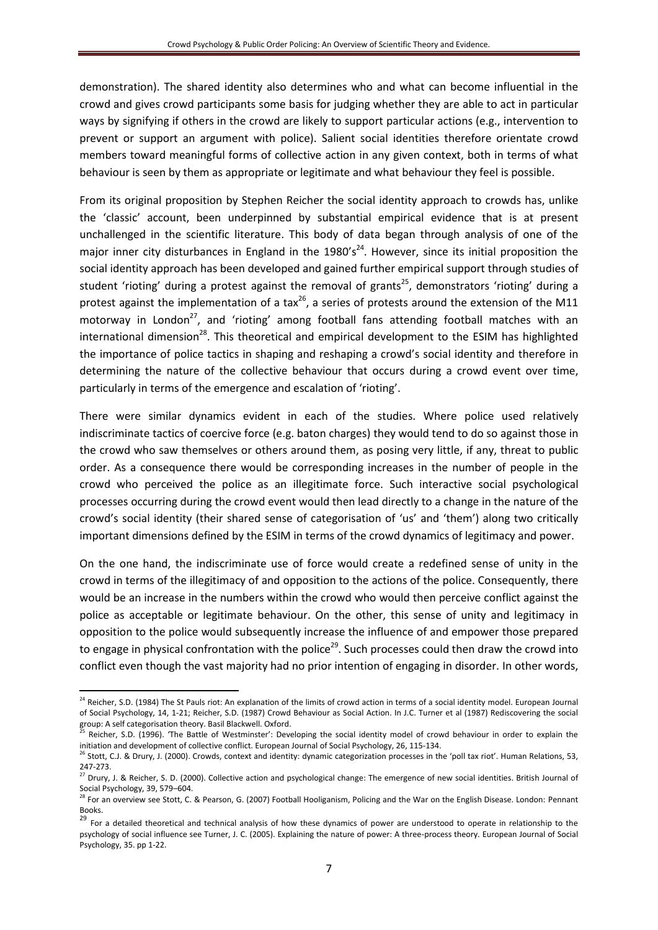demonstration). The shared identity also determines who and what can become influential in the crowd and gives crowd participants some basis for judging whether they are able to act in particular ways by signifying if others in the crowd are likely to support particular actions (e.g., intervention to prevent or support an argument with police). Salient social identities therefore orientate crowd members toward meaningful forms of collective action in any given context, both in terms of what behaviour is seen by them as appropriate or legitimate and what behaviour they feel is possible.

From its original proposition by Stephen Reicher the social identity approach to crowds has, unlike the 'classic' account, been underpinned by substantial empirical evidence that is at present unchallenged in the scientific literature. This body of data began through analysis of one of the major inner city disturbances in England in the  $1980's<sup>24</sup>$ . However, since its initial proposition the social identity approach has been developed and gained further empirical support through studies of student 'rioting' during a protest against the removal of grants<sup>25</sup>, demonstrators 'rioting' during a protest against the implementation of a tax<sup>26</sup>, a series of protests around the extension of the M11 motorway in London<sup>27</sup>, and 'rioting' among football fans attending football matches with an international dimension<sup>28</sup>. This theoretical and empirical development to the ESIM has highlighted the importance of police tactics in shaping and reshaping a crowd's social identity and therefore in determining the nature of the collective behaviour that occurs during a crowd event over time, particularly in terms of the emergence and escalation of 'rioting'.

There were similar dynamics evident in each of the studies. Where police used relatively indiscriminate tactics of coercive force (e.g. baton charges) they would tend to do so against those in the crowd who saw themselves or others around them, as posing very little, if any, threat to public order. As a consequence there would be corresponding increases in the number of people in the crowd who perceived the police as an illegitimate force. Such interactive social psychological processes occurring during the crowd event would then lead directly to a change in the nature of the crowd's social identity (their shared sense of categorisation of 'us' and 'them') along two critically important dimensions defined by the ESIM in terms of the crowd dynamics of legitimacy and power.

On the one hand, the indiscriminate use of force would create a redefined sense of unity in the crowd in terms of the illegitimacy of and opposition to the actions of the police. Consequently, there would be an increase in the numbers within the crowd who would then perceive conflict against the police as acceptable or legitimate behaviour. On the other, this sense of unity and legitimacy in opposition to the police would subsequently increase the influence of and empower those prepared to engage in physical confrontation with the police<sup>29</sup>. Such processes could then draw the crowd into conflict even though the vast majority had no prior intention of engaging in disorder. In other words,

<sup>&</sup>lt;sup>24</sup> Reicher, S.D. (1984) The St Pauls riot: An explanation of the limits of crowd action in terms of a social identity model. European Journal of Social Psychology, 14, 1-21; Reicher, S.D. (1987) Crowd Behaviour as Social Action. In J.C. Turner et al (1987) Rediscovering the social group: A self categorisation theory. Basil Blackwell. Oxford.

<sup>25</sup> Reicher, S.D. (1996). 'The Battle of Westminster': Developing the social identity model of crowd behaviour in order to explain the initiation and development of collective conflict. European Journal of Social Psychology, 26, 115-134.

<sup>&</sup>lt;sup>6</sup> Stott, C.J. & Drury, J. (2000). Crowds, context and identity: dynamic categorization processes in the 'poll tax riot'. Human Relations, 53, 247-273.

<sup>27</sup> Drury, J. & Reicher, S. D. (2000). Collective action and psychological change: The emergence of new social identities. British Journal of Social Psychology, 39, 579–604.

<sup>28</sup> For an overview see Stott, C. & Pearson, G. (2007) Football Hooliganism, Policing and the War on the English Disease. London: Pennant Books.

<sup>&</sup>lt;sup>29</sup> For a detailed theoretical and technical analysis of how these dynamics of power are understood to operate in relationship to the psychology of social influence see Turner, J. C. (2005). Explaining the nature of power: A three-process theory. European Journal of Social Psychology, 35. pp 1-22.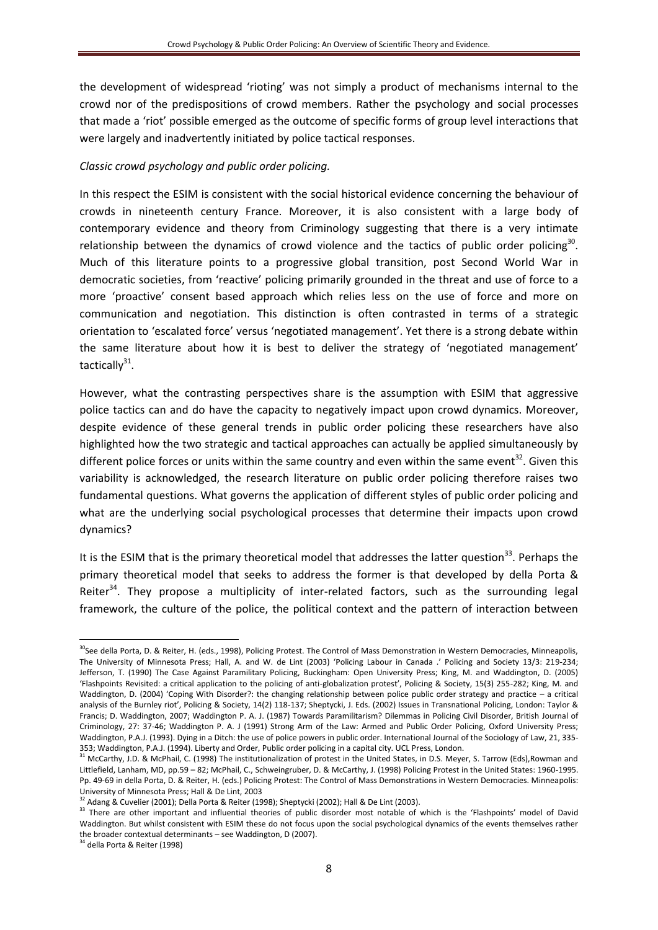the development of widespread 'rioting' was not simply a product of mechanisms internal to the crowd nor of the predispositions of crowd members. Rather the psychology and social processes that made a 'riot' possible emerged as the outcome of specific forms of group level interactions that were largely and inadvertently initiated by police tactical responses.

### *Classic crowd psychology and public order policing.*

In this respect the ESIM is consistent with the social historical evidence concerning the behaviour of crowds in nineteenth century France. Moreover, it is also consistent with a large body of contemporary evidence and theory from Criminology suggesting that there is a very intimate relationship between the dynamics of crowd violence and the tactics of public order policing<sup>30</sup>. Much of this literature points to a progressive global transition, post Second World War in democratic societies, from 'reactive' policing primarily grounded in the threat and use of force to a more 'proactive' consent based approach which relies less on the use of force and more on communication and negotiation. This distinction is often contrasted in terms of a strategic orientation to 'escalated force' versus 'negotiated management'. Yet there is a strong debate within the same literature about how it is best to deliver the strategy of 'negotiated management' tactically<sup>31</sup>.

However, what the contrasting perspectives share is the assumption with ESIM that aggressive police tactics can and do have the capacity to negatively impact upon crowd dynamics. Moreover, despite evidence of these general trends in public order policing these researchers have also highlighted how the two strategic and tactical approaches can actually be applied simultaneously by different police forces or units within the same country and even within the same event<sup>32</sup>. Given this variability is acknowledged, the research literature on public order policing therefore raises two fundamental questions. What governs the application of different styles of public order policing and what are the underlying social psychological processes that determine their impacts upon crowd dynamics?

It is the ESIM that is the primary theoretical model that addresses the latter question<sup>33</sup>. Perhaps the primary theoretical model that seeks to address the former is that developed by della Porta & Reiter<sup>34</sup>. They propose a multiplicity of inter-related factors, such as the surrounding legal framework, the culture of the police, the political context and the pattern of interaction between

 $\overline{a}$ 

<sup>&</sup>lt;sup>30</sup>See della Porta, D. & Reiter, H. (eds., 1998), Policing Protest. The Control of Mass Demonstration in Western Democracies, Minneapolis, The University of Minnesota Press; Hall, A. and W. de Lint (2003) 'Policing Labour in Canada .' Policing and Society 13/3: 219-234; Jefferson, T. (1990) The Case Against Paramilitary Policing, Buckingham: Open University Press; King, M. and Waddington, D. (2005) 'Flashpoints Revisited: a critical application to the policing of anti-globalization protest', Policing & Society, 15(3) 255-282; King, M. and Waddington, D. (2004) 'Coping With Disorder?: the changing relationship between police public order strategy and practice – a critical analysis of the Burnley riot', Policing & Society, 14(2) 118-137; Sheptycki, J. Eds. (2002) Issues in Transnational Policing, London: Taylor & Francis; D. Waddington, 2007; Waddington P. A. J. (1987) Towards Paramilitarism? Dilemmas in Policing Civil Disorder, British Journal of Criminology, 27: 37-46; Waddington P. A. J (1991) Strong Arm of the Law: Armed and Public Order Policing, Oxford University Press; Waddington, P.A.J. (1993). Dying in a Ditch: the use of police powers in public order. International Journal of the Sociology of Law, 21, 335- 353; Waddington, P.A.J. (1994). Liberty and Order, Public order policing in a capital city. UCL Press, London.

<sup>&</sup>lt;sup>31</sup> McCarthy, J.D. & McPhail, C. (1998) The institutionalization of protest in the United States, in D.S. Meyer, S. Tarrow (Eds), Rowman and Littlefield, Lanham, MD, pp.59 – 82; McPhail, C., Schweingruber, D. & McCarthy, J. (1998) Policing Protest in the United States: 1960-1995. Pp. 49-69 in della Porta, D. & Reiter, H. (eds.) Policing Protest: The Control of Mass Demonstrations in Western Democracies. Minneapolis: University of Minnesota Press; Hall & De Lint, 2003

<sup>32</sup> Adang & Cuvelier (2001); Della Porta & Reiter (1998); Sheptycki (2002); Hall & De Lint (2003).

<sup>&</sup>lt;sup>33</sup> There are other important and influential theories of public disorder most notable of which is the 'Flashpoints' model of David Waddington. But whilst consistent with ESIM these do not focus upon the social psychological dynamics of the events themselves rather the broader contextual determinants – see Waddington, D (2007).

<sup>34</sup> della Porta & Reiter (1998)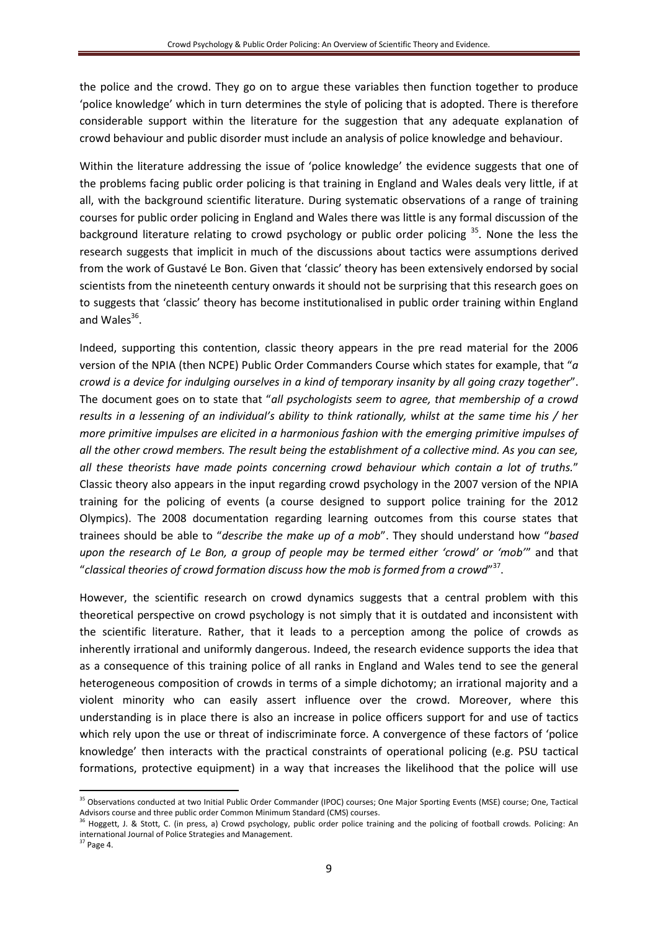the police and the crowd. They go on to argue these variables then function together to produce 'police knowledge' which in turn determines the style of policing that is adopted. There is therefore considerable support within the literature for the suggestion that any adequate explanation of crowd behaviour and public disorder must include an analysis of police knowledge and behaviour.

Within the literature addressing the issue of 'police knowledge' the evidence suggests that one of the problems facing public order policing is that training in England and Wales deals very little, if at all, with the background scientific literature. During systematic observations of a range of training courses for public order policing in England and Wales there was little is any formal discussion of the background literature relating to crowd psychology or public order policing <sup>35</sup>. None the less the research suggests that implicit in much of the discussions about tactics were assumptions derived from the work of Gustavé Le Bon. Given that 'classic' theory has been extensively endorsed by social scientists from the nineteenth century onwards it should not be surprising that this research goes on to suggests that 'classic' theory has become institutionalised in public order training within England and Wales<sup>36</sup>.

Indeed, supporting this contention, classic theory appears in the pre read material for the 2006 version of the NPIA (then NCPE) Public Order Commanders Course which states for example, that "*a crowd is a device for indulging ourselves in a kind of temporary insanity by all going crazy together*". The document goes on to state that "*all psychologists seem to agree, that membership of a crowd results in a lessening of an individual's ability to think rationally, whilst at the same time his / her more primitive impulses are elicited in a harmonious fashion with the emerging primitive impulses of all the other crowd members. The result being the establishment of a collective mind. As you can see, all these theorists have made points concerning crowd behaviour which contain a lot of truths.*" Classic theory also appears in the input regarding crowd psychology in the 2007 version of the NPIA training for the policing of events (a course designed to support police training for the 2012 Olympics). The 2008 documentation regarding learning outcomes from this course states that trainees should be able to "*describe the make up of a mob*". They should understand how "*based upon the research of Le Bon, a group of people may be termed either 'crowd' or 'mob'*" and that "*classical theories of crowd formation discuss how the mob is formed from a crowd*" 37 .

However, the scientific research on crowd dynamics suggests that a central problem with this theoretical perspective on crowd psychology is not simply that it is outdated and inconsistent with the scientific literature. Rather, that it leads to a perception among the police of crowds as inherently irrational and uniformly dangerous. Indeed, the research evidence supports the idea that as a consequence of this training police of all ranks in England and Wales tend to see the general heterogeneous composition of crowds in terms of a simple dichotomy; an irrational majority and a violent minority who can easily assert influence over the crowd. Moreover, where this understanding is in place there is also an increase in police officers support for and use of tactics which rely upon the use or threat of indiscriminate force. A convergence of these factors of 'police knowledge' then interacts with the practical constraints of operational policing (e.g. PSU tactical formations, protective equipment) in a way that increases the likelihood that the police will use

<sup>&</sup>lt;sup>35</sup> Observations conducted at two Initial Public Order Commander (IPOC) courses; One Major Sporting Events (MSE) course; One, Tactical Advisors course and three public order Common Minimum Standard (CMS) courses.

<sup>&</sup>lt;sup>36</sup> Hoggett, J. & Stott, C. (in press, a) Crowd psychology, public order police training and the policing of football crowds. Policing: An international Journal of Police Strategies and Management.

<sup>37</sup> Page 4.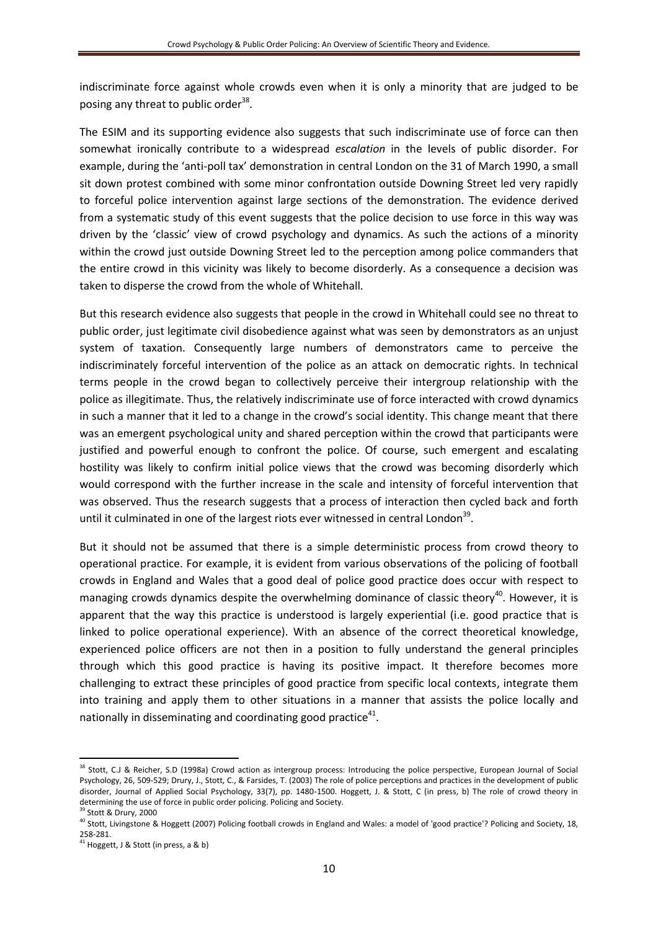indiscriminate force against whole crowds even when it is only a minority that are judged to be posing any threat to public order<sup>38</sup>.

The ESIM and its supporting evidence also suggests that such indiscriminate use of force can then somewhat ironically contribute to a widespread *escalation* in the levels of public disorder. For example, during the 'anti-poll tax' demonstration in central London on the 31 of March 1990, a small sit down protest combined with some minor confrontation outside Downing Street led very rapidly to forceful police intervention against large sections of the demonstration. The evidence derived from a systematic study of this event suggests that the police decision to use force in this way was driven by the 'classic' view of crowd psychology and dynamics. As such the actions of a minority within the crowd just outside Downing Street led to the perception among police commanders that the entire crowd in this vicinity was likely to become disorderly. As a consequence a decision was taken to disperse the crowd from the whole of Whitehall.

But this research evidence also suggests that people in the crowd in Whitehall could see no threat to public order, just legitimate civil disobedience against what was seen by demonstrators as an unjust system of taxation. Consequently large numbers of demonstrators came to perceive the indiscriminately forceful intervention of the police as an attack on democratic rights. In technical terms people in the crowd began to collectively perceive their intergroup relationship with the police as illegitimate. Thus, the relatively indiscriminate use of force interacted with crowd dynamics in such a manner that it led to a change in the crowd's social identity. This change meant that there was an emergent psychological unity and shared perception within the crowd that participants were justified and powerful enough to confront the police. Of course, such emergent and escalating hostility was likely to confirm initial police views that the crowd was becoming disorderly which would correspond with the further increase in the scale and intensity of forceful intervention that was observed. Thus the research suggests that a process of interaction then cycled back and forth until it culminated in one of the largest riots ever witnessed in central London<sup>39</sup>.

But it should not be assumed that there is a simple deterministic process from crowd theory to operational practice. For example, it is evident from various observations of the policing of football crowds in England and Wales that a good deal of police good practice does occur with respect to managing crowds dynamics despite the overwhelming dominance of classic theory<sup>40</sup>. However, it is apparent that the way this practice is understood is largely experiential (i.e. good practice that is linked to police operational experience). With an absence of the correct theoretical knowledge, experienced police officers are not then in a position to fully understand the general principles through which this good practice is having its positive impact. It therefore becomes more challenging to extract these principles of good practice from specific local contexts, integrate them into training and apply them to other situations in a manner that assists the police locally and nationally in disseminating and coordinating good practice<sup>41</sup>.

<sup>&</sup>lt;sup>38</sup> Stott, C.J & Reicher, S.D (1998a) Crowd action as intergroup process: Introducing the police perspective, European Journal of Social Psychology, 26, 509-529; Drury, J., Stott, C., & Farsides, T. (2003) The role of police perceptions and practices in the development of public disorder, Journal of Applied Social Psychology, 33(7), pp. 1480-1500. Hoggett, J. & Stott, C (in press, b) The role of crowd theory in determining the use of force in public order policing. Policing and Society. <sup>39</sup> Stott & Drury, 2000

<sup>40</sup> Stott, Livingstone & Hoggett (2007) Policing football crowds in England and Wales: a model of 'good practice'? Policing and Society, 18, 258-281.

 $41$  Hoggett, J & Stott (in press, a & b)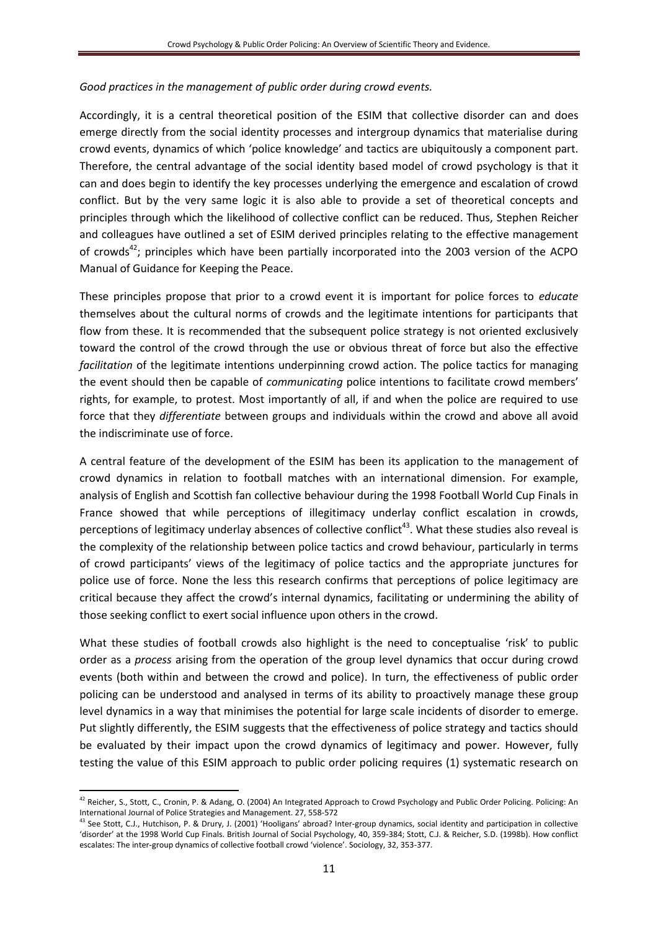### *Good practices in the management of public order during crowd events.*

Accordingly, it is a central theoretical position of the ESIM that collective disorder can and does emerge directly from the social identity processes and intergroup dynamics that materialise during crowd events, dynamics of which 'police knowledge' and tactics are ubiquitously a component part. Therefore, the central advantage of the social identity based model of crowd psychology is that it can and does begin to identify the key processes underlying the emergence and escalation of crowd conflict. But by the very same logic it is also able to provide a set of theoretical concepts and principles through which the likelihood of collective conflict can be reduced. Thus, Stephen Reicher and colleagues have outlined a set of ESIM derived principles relating to the effective management of crowds<sup>42</sup>; principles which have been partially incorporated into the 2003 version of the ACPO Manual of Guidance for Keeping the Peace.

These principles propose that prior to a crowd event it is important for police forces to *educate* themselves about the cultural norms of crowds and the legitimate intentions for participants that flow from these. It is recommended that the subsequent police strategy is not oriented exclusively toward the control of the crowd through the use or obvious threat of force but also the effective *facilitation* of the legitimate intentions underpinning crowd action. The police tactics for managing the event should then be capable of *communicating* police intentions to facilitate crowd members' rights, for example, to protest. Most importantly of all, if and when the police are required to use force that they *differentiate* between groups and individuals within the crowd and above all avoid the indiscriminate use of force.

A central feature of the development of the ESIM has been its application to the management of crowd dynamics in relation to football matches with an international dimension. For example, analysis of English and Scottish fan collective behaviour during the 1998 Football World Cup Finals in France showed that while perceptions of illegitimacy underlay conflict escalation in crowds, perceptions of legitimacy underlay absences of collective conflict<sup>43</sup>. What these studies also reveal is the complexity of the relationship between police tactics and crowd behaviour, particularly in terms of crowd participants' views of the legitimacy of police tactics and the appropriate junctures for police use of force. None the less this research confirms that perceptions of police legitimacy are critical because they affect the crowd's internal dynamics, facilitating or undermining the ability of those seeking conflict to exert social influence upon others in the crowd.

What these studies of football crowds also highlight is the need to conceptualise 'risk' to public order as a *process* arising from the operation of the group level dynamics that occur during crowd events (both within and between the crowd and police). In turn, the effectiveness of public order policing can be understood and analysed in terms of its ability to proactively manage these group level dynamics in a way that minimises the potential for large scale incidents of disorder to emerge. Put slightly differently, the ESIM suggests that the effectiveness of police strategy and tactics should be evaluated by their impact upon the crowd dynamics of legitimacy and power. However, fully testing the value of this ESIM approach to public order policing requires (1) systematic research on

<sup>&</sup>lt;sup>42</sup> Reicher, S., Stott, C., Cronin, P. & Adang, O. (2004) An Integrated Approach to Crowd Psychology and Public Order Policing. Policing: An International Journal of Police Strategies and Management. 27, 558-572

<sup>43</sup> See Stott, C.J., Hutchison, P. & Drury, J. (2001) 'Hooligans' abroad? Inter-group dynamics, social identity and participation in collective 'disorder' at the 1998 World Cup Finals. British Journal of Social Psychology, 40, 359-384; Stott, C.J. & Reicher, S.D. (1998b). How conflict escalates: The inter-group dynamics of collective football crowd 'violence'. Sociology, 32, 353-377.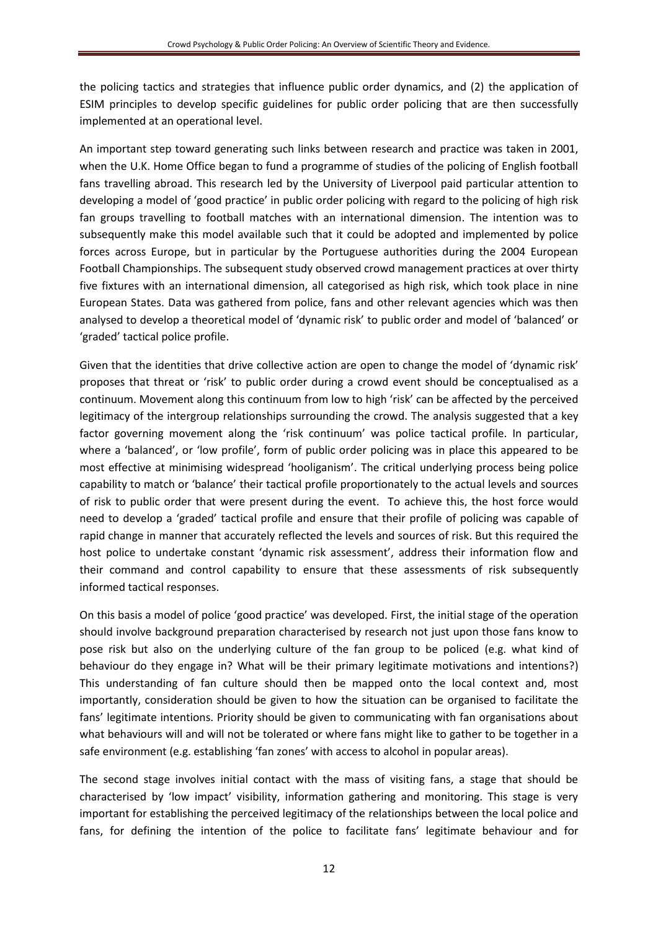the policing tactics and strategies that influence public order dynamics, and (2) the application of ESIM principles to develop specific guidelines for public order policing that are then successfully implemented at an operational level.

An important step toward generating such links between research and practice was taken in 2001, when the U.K. Home Office began to fund a programme of studies of the policing of English football fans travelling abroad. This research led by the University of Liverpool paid particular attention to developing a model of 'good practice' in public order policing with regard to the policing of high risk fan groups travelling to football matches with an international dimension. The intention was to subsequently make this model available such that it could be adopted and implemented by police forces across Europe, but in particular by the Portuguese authorities during the 2004 European Football Championships. The subsequent study observed crowd management practices at over thirty five fixtures with an international dimension, all categorised as high risk, which took place in nine European States. Data was gathered from police, fans and other relevant agencies which was then analysed to develop a theoretical model of 'dynamic risk' to public order and model of 'balanced' or 'graded' tactical police profile.

Given that the identities that drive collective action are open to change the model of 'dynamic risk' proposes that threat or 'risk' to public order during a crowd event should be conceptualised as a continuum. Movement along this continuum from low to high 'risk' can be affected by the perceived legitimacy of the intergroup relationships surrounding the crowd. The analysis suggested that a key factor governing movement along the 'risk continuum' was police tactical profile. In particular, where a 'balanced', or 'low profile', form of public order policing was in place this appeared to be most effective at minimising widespread 'hooliganism'. The critical underlying process being police capability to match or 'balance' their tactical profile proportionately to the actual levels and sources of risk to public order that were present during the event. To achieve this, the host force would need to develop a 'graded' tactical profile and ensure that their profile of policing was capable of rapid change in manner that accurately reflected the levels and sources of risk. But this required the host police to undertake constant 'dynamic risk assessment', address their information flow and their command and control capability to ensure that these assessments of risk subsequently informed tactical responses.

On this basis a model of police 'good practice' was developed. First, the initial stage of the operation should involve background preparation characterised by research not just upon those fans know to pose risk but also on the underlying culture of the fan group to be policed (e.g. what kind of behaviour do they engage in? What will be their primary legitimate motivations and intentions?) This understanding of fan culture should then be mapped onto the local context and, most importantly, consideration should be given to how the situation can be organised to facilitate the fans' legitimate intentions. Priority should be given to communicating with fan organisations about what behaviours will and will not be tolerated or where fans might like to gather to be together in a safe environment (e.g. establishing 'fan zones' with access to alcohol in popular areas).

The second stage involves initial contact with the mass of visiting fans, a stage that should be characterised by 'low impact' visibility, information gathering and monitoring. This stage is very important for establishing the perceived legitimacy of the relationships between the local police and fans, for defining the intention of the police to facilitate fans' legitimate behaviour and for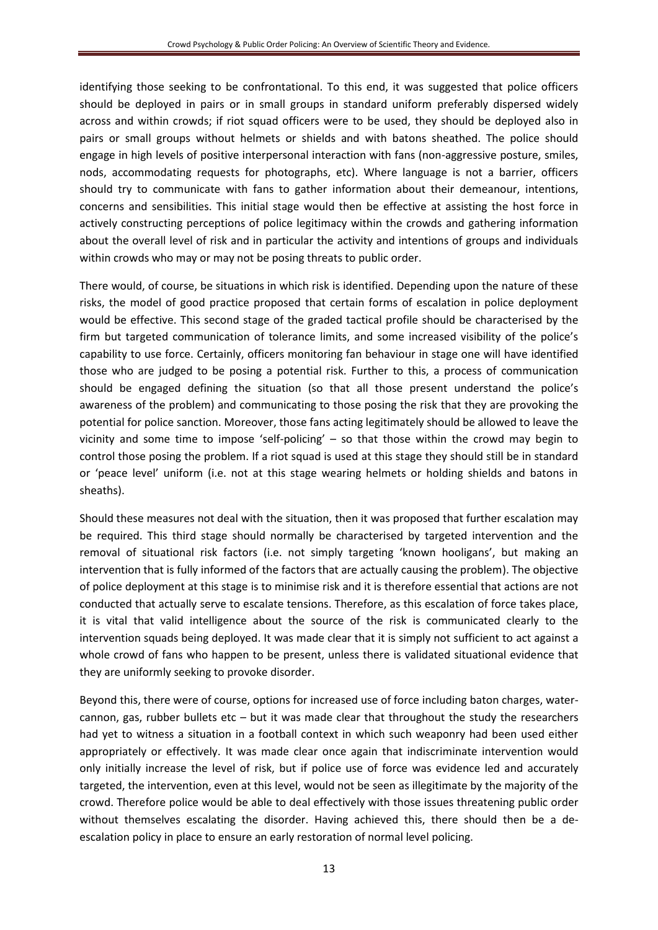identifying those seeking to be confrontational. To this end, it was suggested that police officers should be deployed in pairs or in small groups in standard uniform preferably dispersed widely across and within crowds; if riot squad officers were to be used, they should be deployed also in pairs or small groups without helmets or shields and with batons sheathed. The police should engage in high levels of positive interpersonal interaction with fans (non-aggressive posture, smiles, nods, accommodating requests for photographs, etc). Where language is not a barrier, officers should try to communicate with fans to gather information about their demeanour, intentions, concerns and sensibilities. This initial stage would then be effective at assisting the host force in actively constructing perceptions of police legitimacy within the crowds and gathering information about the overall level of risk and in particular the activity and intentions of groups and individuals within crowds who may or may not be posing threats to public order.

There would, of course, be situations in which risk is identified. Depending upon the nature of these risks, the model of good practice proposed that certain forms of escalation in police deployment would be effective. This second stage of the graded tactical profile should be characterised by the firm but targeted communication of tolerance limits, and some increased visibility of the police's capability to use force. Certainly, officers monitoring fan behaviour in stage one will have identified those who are judged to be posing a potential risk. Further to this, a process of communication should be engaged defining the situation (so that all those present understand the police's awareness of the problem) and communicating to those posing the risk that they are provoking the potential for police sanction. Moreover, those fans acting legitimately should be allowed to leave the vicinity and some time to impose 'self-policing' – so that those within the crowd may begin to control those posing the problem. If a riot squad is used at this stage they should still be in standard or 'peace level' uniform (i.e. not at this stage wearing helmets or holding shields and batons in sheaths).

Should these measures not deal with the situation, then it was proposed that further escalation may be required. This third stage should normally be characterised by targeted intervention and the removal of situational risk factors (i.e. not simply targeting 'known hooligans', but making an intervention that is fully informed of the factors that are actually causing the problem). The objective of police deployment at this stage is to minimise risk and it is therefore essential that actions are not conducted that actually serve to escalate tensions. Therefore, as this escalation of force takes place, it is vital that valid intelligence about the source of the risk is communicated clearly to the intervention squads being deployed. It was made clear that it is simply not sufficient to act against a whole crowd of fans who happen to be present, unless there is validated situational evidence that they are uniformly seeking to provoke disorder.

Beyond this, there were of course, options for increased use of force including baton charges, watercannon, gas, rubber bullets etc – but it was made clear that throughout the study the researchers had yet to witness a situation in a football context in which such weaponry had been used either appropriately or effectively. It was made clear once again that indiscriminate intervention would only initially increase the level of risk, but if police use of force was evidence led and accurately targeted, the intervention, even at this level, would not be seen as illegitimate by the majority of the crowd. Therefore police would be able to deal effectively with those issues threatening public order without themselves escalating the disorder. Having achieved this, there should then be a deescalation policy in place to ensure an early restoration of normal level policing.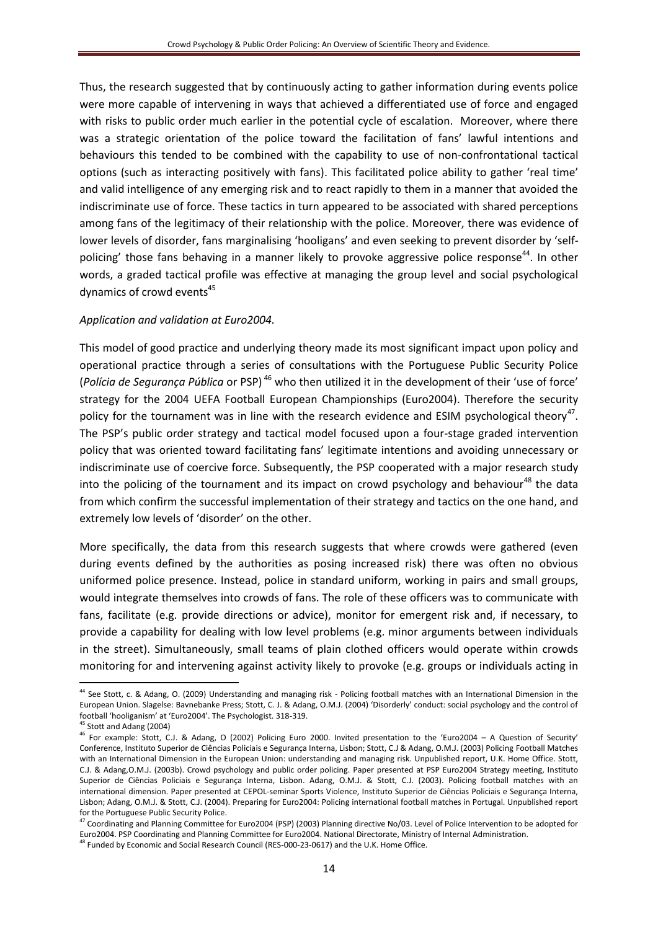Thus, the research suggested that by continuously acting to gather information during events police were more capable of intervening in ways that achieved a differentiated use of force and engaged with risks to public order much earlier in the potential cycle of escalation. Moreover, where there was a strategic orientation of the police toward the facilitation of fans' lawful intentions and behaviours this tended to be combined with the capability to use of non-confrontational tactical options (such as interacting positively with fans). This facilitated police ability to gather 'real time' and valid intelligence of any emerging risk and to react rapidly to them in a manner that avoided the indiscriminate use of force. These tactics in turn appeared to be associated with shared perceptions among fans of the legitimacy of their relationship with the police. Moreover, there was evidence of lower levels of disorder, fans marginalising 'hooligans' and even seeking to prevent disorder by 'selfpolicing' those fans behaving in a manner likely to provoke aggressive police response<sup>44</sup>. In other words, a graded tactical profile was effective at managing the group level and social psychological dynamics of crowd events<sup>45</sup>

# *Application and validation at Euro2004.*

This model of good practice and underlying theory made its most significant impact upon policy and operational practice through a series of consultations with the Portuguese Public Security Police (*Polícia de Segurança Pública* or PSP) <sup>46</sup> who then utilized it in the development of their 'use of force' strategy for the 2004 UEFA Football European Championships (Euro2004). Therefore the security policy for the tournament was in line with the research evidence and ESIM psychological theory<sup>47</sup>. The PSP's public order strategy and tactical model focused upon a four-stage graded intervention policy that was oriented toward facilitating fans' legitimate intentions and avoiding unnecessary or indiscriminate use of coercive force. Subsequently, the PSP cooperated with a major research study into the policing of the tournament and its impact on crowd psychology and behaviour<sup>48</sup> the data from which confirm the successful implementation of their strategy and tactics on the one hand, and extremely low levels of 'disorder' on the other.

More specifically, the data from this research suggests that where crowds were gathered (even during events defined by the authorities as posing increased risk) there was often no obvious uniformed police presence. Instead, police in standard uniform, working in pairs and small groups, would integrate themselves into crowds of fans. The role of these officers was to communicate with fans, facilitate (e.g. provide directions or advice), monitor for emergent risk and, if necessary, to provide a capability for dealing with low level problems (e.g. minor arguments between individuals in the street). Simultaneously, small teams of plain clothed officers would operate within crowds monitoring for and intervening against activity likely to provoke (e.g. groups or individuals acting in

 $\overline{\phantom{a}}$ 

48 Funded by Economic and Social Research Council (RES-000-23-0617) and the U.K. Home Office.

<sup>&</sup>lt;sup>44</sup> See Stott, c. & Adang, O. (2009) Understanding and managing risk - Policing football matches with an International Dimension in the European Union. Slagelse: Bavnebanke Press; Stott, C. J. & Adang, O.M.J. (2004) 'Disorderly' conduct: social psychology and the control of football 'hooliganism' at 'Euro2004'. The Psychologist. 318-319.

<sup>&</sup>lt;sup>45</sup> Stott and Adang (2004)

<sup>46</sup> For example: Stott, C.J. & Adang, O (2002) Policing Euro 2000. Invited presentation to the 'Euro2004 – A Question of Security' Conference, Instituto Superior de Ciências Policiais e Segurança Interna, Lisbon; Stott, C.J & Adang, O.M.J. (2003) Policing Football Matches with an International Dimension in the European Union: understanding and managing risk. Unpublished report, U.K. Home Office. Stott, C.J. & Adang,O.M.J. (2003b). Crowd psychology and public order policing. Paper presented at PSP Euro2004 Strategy meeting, Instituto Superior de Ciências Policiais e Segurança Interna, Lisbon. Adang, O.M.J. & Stott, C.J. (2003). Policing football matches with an international dimension. Paper presented at CEPOL-seminar Sports Violence, Instituto Superior de Ciências Policiais e Segurança Interna, Lisbon; Adang, O.M.J. & Stott, C.J. (2004). Preparing for Euro2004: Policing international football matches in Portugal. Unpublished report for the Portuguese Public Security Police.

<sup>47</sup> Coordinating and Planning Committee for Euro2004 (PSP) (2003) Planning directive No/03. Level of Police Intervention to be adopted for Euro2004. PSP Coordinating and Planning Committee for Euro2004. National Directorate, Ministry of Internal Administration.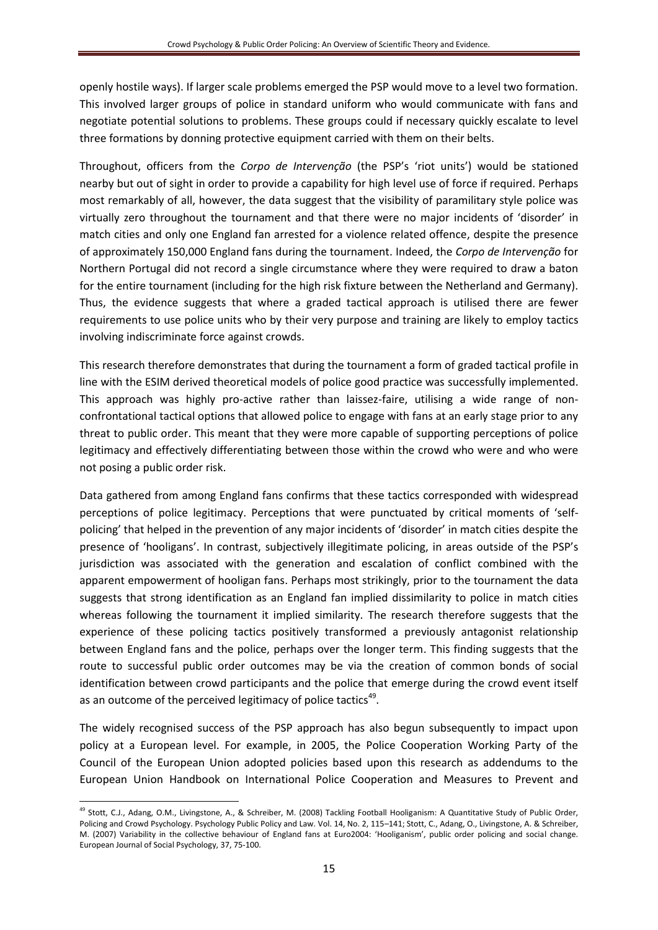openly hostile ways). If larger scale problems emerged the PSP would move to a level two formation. This involved larger groups of police in standard uniform who would communicate with fans and negotiate potential solutions to problems. These groups could if necessary quickly escalate to level three formations by donning protective equipment carried with them on their belts.

Throughout, officers from the *Corpo de Intervenção* (the PSP's 'riot units') would be stationed nearby but out of sight in order to provide a capability for high level use of force if required. Perhaps most remarkably of all, however, the data suggest that the visibility of paramilitary style police was virtually zero throughout the tournament and that there were no major incidents of 'disorder' in match cities and only one England fan arrested for a violence related offence, despite the presence of approximately 150,000 England fans during the tournament. Indeed, the *Corpo de Intervenção* for Northern Portugal did not record a single circumstance where they were required to draw a baton for the entire tournament (including for the high risk fixture between the Netherland and Germany). Thus, the evidence suggests that where a graded tactical approach is utilised there are fewer requirements to use police units who by their very purpose and training are likely to employ tactics involving indiscriminate force against crowds.

This research therefore demonstrates that during the tournament a form of graded tactical profile in line with the ESIM derived theoretical models of police good practice was successfully implemented. This approach was highly pro-active rather than laissez-faire, utilising a wide range of nonconfrontational tactical options that allowed police to engage with fans at an early stage prior to any threat to public order. This meant that they were more capable of supporting perceptions of police legitimacy and effectively differentiating between those within the crowd who were and who were not posing a public order risk.

Data gathered from among England fans confirms that these tactics corresponded with widespread perceptions of police legitimacy. Perceptions that were punctuated by critical moments of 'selfpolicing' that helped in the prevention of any major incidents of 'disorder' in match cities despite the presence of 'hooligans'. In contrast, subjectively illegitimate policing, in areas outside of the PSP's jurisdiction was associated with the generation and escalation of conflict combined with the apparent empowerment of hooligan fans. Perhaps most strikingly, prior to the tournament the data suggests that strong identification as an England fan implied dissimilarity to police in match cities whereas following the tournament it implied similarity. The research therefore suggests that the experience of these policing tactics positively transformed a previously antagonist relationship between England fans and the police, perhaps over the longer term. This finding suggests that the route to successful public order outcomes may be via the creation of common bonds of social identification between crowd participants and the police that emerge during the crowd event itself as an outcome of the perceived legitimacy of police tactics<sup>49</sup>.

The widely recognised success of the PSP approach has also begun subsequently to impact upon policy at a European level. For example, in 2005, the Police Cooperation Working Party of the Council of the European Union adopted policies based upon this research as addendums to the European Union Handbook on International Police Cooperation and Measures to Prevent and

**<sup>.</sup>** <sup>49</sup> Stott, C.J., Adang, O.M., Livingstone, A., & Schreiber, M. (2008) Tackling Football Hooliganism: A Quantitative Study of Public Order, Policing and Crowd Psychology. Psychology Public Policy and Law. Vol. 14, No. 2, 115–141; Stott, C., Adang, O., Livingstone, A. & Schreiber, M. (2007) Variability in the collective behaviour of England fans at Euro2004: 'Hooliganism', public order policing and social change. European Journal of Social Psychology, 37, 75-100.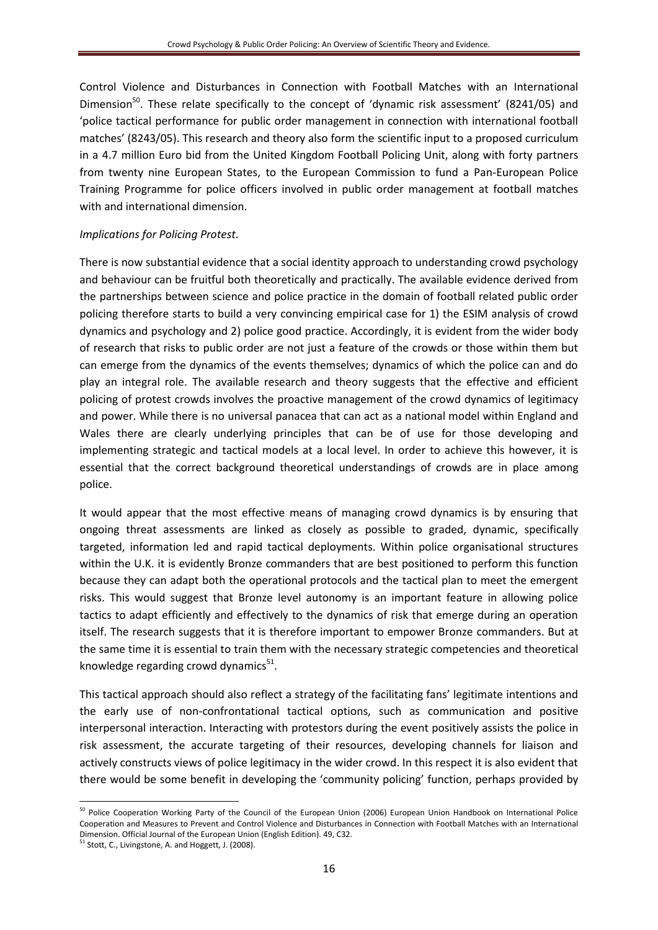Control Violence and Disturbances in Connection with Football Matches with an International Dimension<sup>50</sup>. These relate specifically to the concept of 'dynamic risk assessment' (8241/05) and 'police tactical performance for public order management in connection with international football matches' (8243/05). This research and theory also form the scientific input to a proposed curriculum in a 4.7 million Euro bid from the United Kingdom Football Policing Unit, along with forty partners from twenty nine European States, to the European Commission to fund a Pan-European Police Training Programme for police officers involved in public order management at football matches with and international dimension.

# *Implications for Policing Protest.*

There is now substantial evidence that a social identity approach to understanding crowd psychology and behaviour can be fruitful both theoretically and practically. The available evidence derived from the partnerships between science and police practice in the domain of football related public order policing therefore starts to build a very convincing empirical case for 1) the ESIM analysis of crowd dynamics and psychology and 2) police good practice. Accordingly, it is evident from the wider body of research that risks to public order are not just a feature of the crowds or those within them but can emerge from the dynamics of the events themselves; dynamics of which the police can and do play an integral role. The available research and theory suggests that the effective and efficient policing of protest crowds involves the proactive management of the crowd dynamics of legitimacy and power. While there is no universal panacea that can act as a national model within England and Wales there are clearly underlying principles that can be of use for those developing and implementing strategic and tactical models at a local level. In order to achieve this however, it is essential that the correct background theoretical understandings of crowds are in place among police.

It would appear that the most effective means of managing crowd dynamics is by ensuring that ongoing threat assessments are linked as closely as possible to graded, dynamic, specifically targeted, information led and rapid tactical deployments. Within police organisational structures within the U.K. it is evidently Bronze commanders that are best positioned to perform this function because they can adapt both the operational protocols and the tactical plan to meet the emergent risks. This would suggest that Bronze level autonomy is an important feature in allowing police tactics to adapt efficiently and effectively to the dynamics of risk that emerge during an operation itself. The research suggests that it is therefore important to empower Bronze commanders. But at the same time it is essential to train them with the necessary strategic competencies and theoretical knowledge regarding crowd dynamics<sup>51</sup>.

This tactical approach should also reflect a strategy of the facilitating fans' legitimate intentions and the early use of non-confrontational tactical options, such as communication and positive interpersonal interaction. Interacting with protestors during the event positively assists the police in risk assessment, the accurate targeting of their resources, developing channels for liaison and actively constructs views of police legitimacy in the wider crowd. In this respect it is also evident that there would be some benefit in developing the 'community policing' function, perhaps provided by

**<sup>.</sup>** <sup>50</sup> Police Cooperation Working Party of the Council of the European Union (2006) European Union Handbook on International Police Cooperation and Measures to Prevent and Control Violence and Disturbances in Connection with Football Matches with an International Dimension. Official Journal of the European Union (English Edition). 49, C32.

<sup>&</sup>lt;sup>51</sup> Stott, C., Livingstone, A. and Hoggett, J. (2008).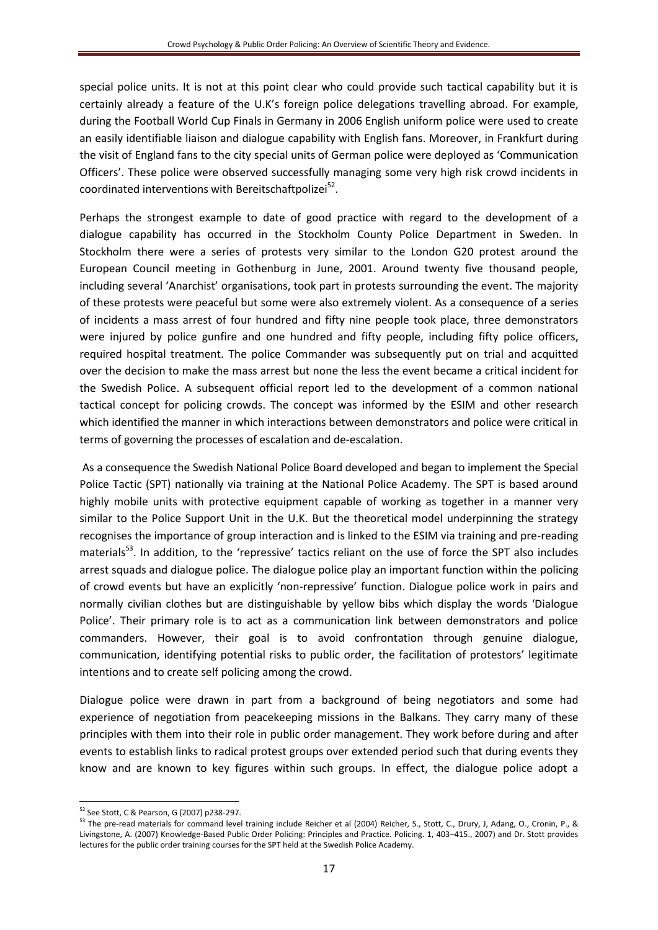special police units. It is not at this point clear who could provide such tactical capability but it is certainly already a feature of the U.K's foreign police delegations travelling abroad. For example, during the Football World Cup Finals in Germany in 2006 English uniform police were used to create an easily identifiable liaison and dialogue capability with English fans. Moreover, in Frankfurt during the visit of England fans to the city special units of German police were deployed as 'Communication Officers'. These police were observed successfully managing some very high risk crowd incidents in coordinated interventions with Bereitschaftpolizei<sup>52</sup>.

Perhaps the strongest example to date of good practice with regard to the development of a dialogue capability has occurred in the Stockholm County Police Department in Sweden. In Stockholm there were a series of protests very similar to the London G20 protest around the European Council meeting in Gothenburg in June, 2001. Around twenty five thousand people, including several 'Anarchist' organisations, took part in protests surrounding the event. The majority of these protests were peaceful but some were also extremely violent. As a consequence of a series of incidents a mass arrest of four hundred and fifty nine people took place, three demonstrators were injured by police gunfire and one hundred and fifty people, including fifty police officers, required hospital treatment. The police Commander was subsequently put on trial and acquitted over the decision to make the mass arrest but none the less the event became a critical incident for the Swedish Police. A subsequent official report led to the development of a common national tactical concept for policing crowds. The concept was informed by the ESIM and other research which identified the manner in which interactions between demonstrators and police were critical in terms of governing the processes of escalation and de-escalation.

As a consequence the Swedish National Police Board developed and began to implement the Special Police Tactic (SPT) nationally via training at the National Police Academy. The SPT is based around highly mobile units with protective equipment capable of working as together in a manner very similar to the Police Support Unit in the U.K. But the theoretical model underpinning the strategy recognises the importance of group interaction and is linked to the ESIM via training and pre-reading materials<sup>53</sup>. In addition, to the 'repressive' tactics reliant on the use of force the SPT also includes arrest squads and dialogue police. The dialogue police play an important function within the policing of crowd events but have an explicitly 'non-repressive' function. Dialogue police work in pairs and normally civilian clothes but are distinguishable by yellow bibs which display the words 'Dialogue Police'. Their primary role is to act as a communication link between demonstrators and police commanders. However, their goal is to avoid confrontation through genuine dialogue, communication, identifying potential risks to public order, the facilitation of protestors' legitimate intentions and to create self policing among the crowd.

Dialogue police were drawn in part from a background of being negotiators and some had experience of negotiation from peacekeeping missions in the Balkans. They carry many of these principles with them into their role in public order management. They work before during and after events to establish links to radical protest groups over extended period such that during events they know and are known to key figures within such groups. In effect, the dialogue police adopt a

<sup>52</sup> See Stott, C & Pearson, G (2007) p238-297.

<sup>53</sup> The pre-read materials for command level training include Reicher et al (2004) Reicher, S., Stott, C., Drury, J, Adang, O., Cronin, P., & Livingstone, A. (2007) Knowledge-Based Public Order Policing: Principles and Practice. Policing. 1, 403–415., 2007) and Dr. Stott provides lectures for the public order training courses for the SPT held at the Swedish Police Academy.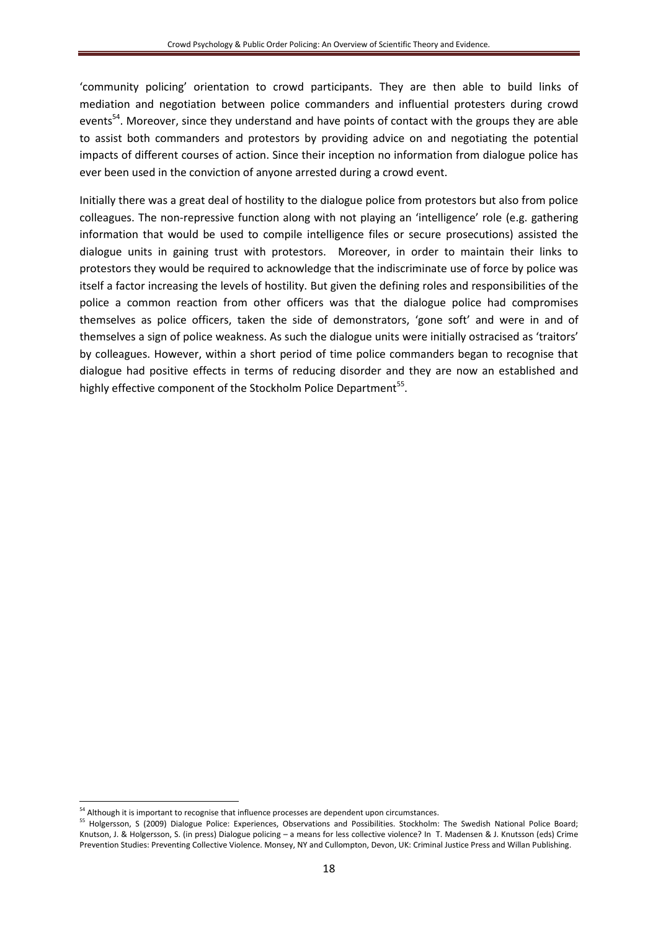'community policing' orientation to crowd participants. They are then able to build links of mediation and negotiation between police commanders and influential protesters during crowd events<sup>54</sup>. Moreover, since they understand and have points of contact with the groups they are able to assist both commanders and protestors by providing advice on and negotiating the potential impacts of different courses of action. Since their inception no information from dialogue police has ever been used in the conviction of anyone arrested during a crowd event.

Initially there was a great deal of hostility to the dialogue police from protestors but also from police colleagues. The non-repressive function along with not playing an 'intelligence' role (e.g. gathering information that would be used to compile intelligence files or secure prosecutions) assisted the dialogue units in gaining trust with protestors. Moreover, in order to maintain their links to protestors they would be required to acknowledge that the indiscriminate use of force by police was itself a factor increasing the levels of hostility. But given the defining roles and responsibilities of the police a common reaction from other officers was that the dialogue police had compromises themselves as police officers, taken the side of demonstrators, 'gone soft' and were in and of themselves a sign of police weakness. As such the dialogue units were initially ostracised as 'traitors' by colleagues. However, within a short period of time police commanders began to recognise that dialogue had positive effects in terms of reducing disorder and they are now an established and highly effective component of the Stockholm Police Department<sup>55</sup>.

<sup>&</sup>lt;sup>54</sup> Although it is important to recognise that influence processes are dependent upon circumstances.

<sup>55</sup> Holgersson, S (2009) Dialogue Police: Experiences, Observations and Possibilities. Stockholm: The Swedish National Police Board; Knutson, J. & Holgersson, S. (in press) Dialogue policing – a means for less collective violence? In T. Madensen & J. Knutsson (eds) Crime Prevention Studies: Preventing Collective Violence. Monsey, NY and Cullompton, Devon, UK: Criminal Justice Press and Willan Publishing.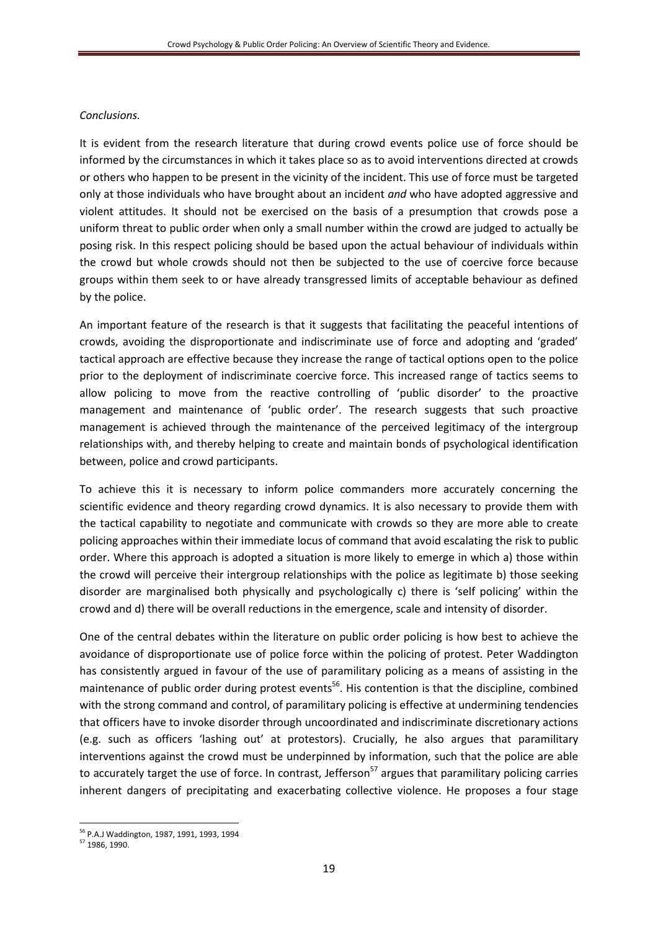# *Conclusions.*

It is evident from the research literature that during crowd events police use of force should be informed by the circumstances in which it takes place so as to avoid interventions directed at crowds or others who happen to be present in the vicinity of the incident. This use of force must be targeted only at those individuals who have brought about an incident *and* who have adopted aggressive and violent attitudes. It should not be exercised on the basis of a presumption that crowds pose a uniform threat to public order when only a small number within the crowd are judged to actually be posing risk. In this respect policing should be based upon the actual behaviour of individuals within the crowd but whole crowds should not then be subjected to the use of coercive force because groups within them seek to or have already transgressed limits of acceptable behaviour as defined by the police.

An important feature of the research is that it suggests that facilitating the peaceful intentions of crowds, avoiding the disproportionate and indiscriminate use of force and adopting and 'graded' tactical approach are effective because they increase the range of tactical options open to the police prior to the deployment of indiscriminate coercive force. This increased range of tactics seems to allow policing to move from the reactive controlling of 'public disorder' to the proactive management and maintenance of 'public order'. The research suggests that such proactive management is achieved through the maintenance of the perceived legitimacy of the intergroup relationships with, and thereby helping to create and maintain bonds of psychological identification between, police and crowd participants.

To achieve this it is necessary to inform police commanders more accurately concerning the scientific evidence and theory regarding crowd dynamics. It is also necessary to provide them with the tactical capability to negotiate and communicate with crowds so they are more able to create policing approaches within their immediate locus of command that avoid escalating the risk to public order. Where this approach is adopted a situation is more likely to emerge in which a) those within the crowd will perceive their intergroup relationships with the police as legitimate b) those seeking disorder are marginalised both physically and psychologically c) there is 'self policing' within the crowd and d) there will be overall reductions in the emergence, scale and intensity of disorder.

One of the central debates within the literature on public order policing is how best to achieve the avoidance of disproportionate use of police force within the policing of protest. Peter Waddington has consistently argued in favour of the use of paramilitary policing as a means of assisting in the maintenance of public order during protest events<sup>56</sup>. His contention is that the discipline, combined with the strong command and control, of paramilitary policing is effective at undermining tendencies that officers have to invoke disorder through uncoordinated and indiscriminate discretionary actions (e.g. such as officers 'lashing out' at protestors). Crucially, he also argues that paramilitary interventions against the crowd must be underpinned by information, such that the police are able to accurately target the use of force. In contrast, Jefferson<sup>57</sup> argues that paramilitary policing carries inherent dangers of precipitating and exacerbating collective violence. He proposes a four stage

<sup>1</sup> <sup>56</sup> P.A.J Waddington, 1987, 1991, 1993, 1994

<sup>57</sup> 1986, 1990.